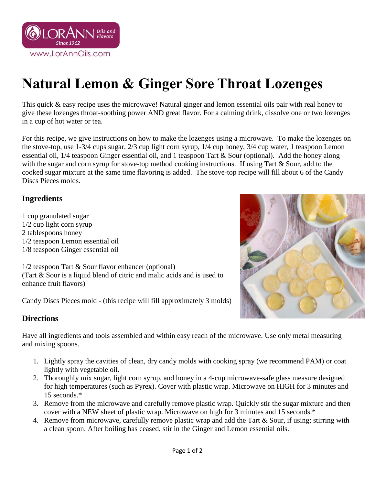

## **Natural Lemon & Ginger Sore Throat Lozenges**

This quick & easy recipe uses the microwave! Natural ginger and lemon essential oils pair with real honey to give these lozenges throat-soothing power AND great flavor. For a calming drink, dissolve one or two lozenges in a cup of hot water or tea.

For this recipe, we give instructions on how to make the lozenges using a microwave. To make the lozenges on the stove-top, use 1-3/4 cups sugar, 2/3 cup light corn syrup, 1/4 cup honey, 3/4 cup water, 1 teaspoon Lemon essential oil, 1/4 teaspoon Ginger essential oil, and 1 teaspoon Tart & Sour (optional). Add the honey along with the sugar and corn syrup for stove-top method cooking instructions. If using Tart & Sour, add to the cooked sugar mixture at the same time flavoring is added. The stove-top recipe will fill about 6 of the Candy Discs Pieces molds.

## **Ingredients**

1 cup granulated sugar 1/2 cup light corn syrup 2 tablespoons honey 1/2 teaspoon Lemon essential oil 1/8 teaspoon Ginger essential oil

1/2 teaspoon Tart & Sour flavor enhancer (optional) (Tart & Sour is a liquid blend of citric and malic acids and is used to enhance fruit flavors)

Candy Discs Pieces mold - (this recipe will fill approximately 3 molds)

## **Directions**

Have all ingredients and tools assembled and within easy reach of the microwave. Use only metal measuring and mixing spoons.

- 1. Lightly spray the cavities of clean, dry candy molds with cooking spray (we recommend PAM) or coat lightly with vegetable oil.
- 2. Thoroughly mix sugar, light corn syrup, and honey in a 4-cup microwave-safe glass measure designed for high temperatures (such as Pyrex). Cover with plastic wrap. Microwave on HIGH for 3 minutes and 15 seconds.\*
- 3. Remove from the microwave and carefully remove plastic wrap. Quickly stir the sugar mixture and then cover with a NEW sheet of plastic wrap. Microwave on high for 3 minutes and 15 seconds.\*
- 4. Remove from microwave, carefully remove plastic wrap and add the Tart & Sour, if using; stirring with a clean spoon. After boiling has ceased, stir in the Ginger and Lemon essential oils.